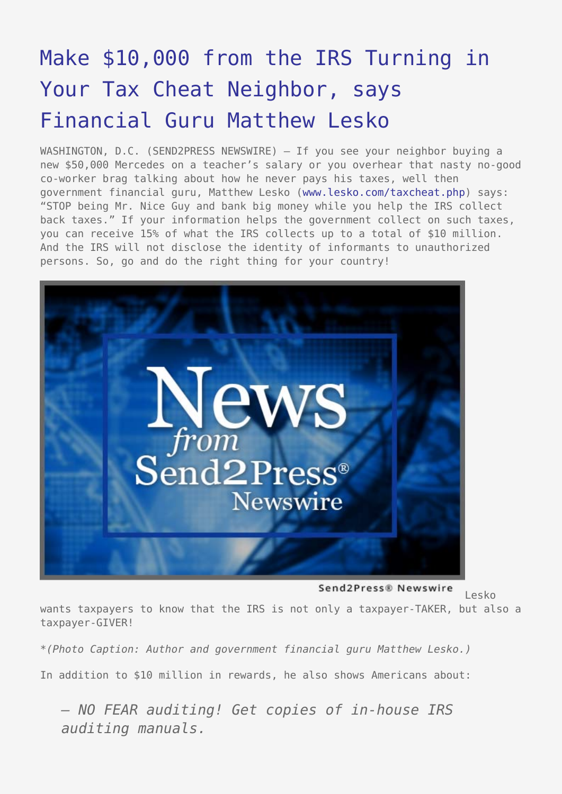## [Make \\$10,000 from the IRS Turning in](https://www.send2press.com/wire/2006-03-0308-001/) [Your Tax Cheat Neighbor, says](https://www.send2press.com/wire/2006-03-0308-001/) [Financial Guru Matthew Lesko](https://www.send2press.com/wire/2006-03-0308-001/)

WASHINGTON, D.C. (SEND2PRESS NEWSWIRE) — If you see your neighbor buying a new \$50,000 Mercedes on a teacher's salary or you overhear that nasty no-good co-worker brag talking about how he never pays his taxes, well then government financial guru, Matthew Lesko ([www.lesko.com/taxcheat.php\)](http://www.lesko.com/taxcheat.php) says: "STOP being Mr. Nice Guy and bank big money while you help the IRS collect back taxes." If your information helps the government collect on such taxes, you can receive 15% of what the IRS collects up to a total of \$10 million. And the IRS will not disclose the identity of informants to unauthorized persons. So, go and do the right thing for your country!



Send2Press® Newswire Lesko

wants taxpayers to know that the IRS is not only a taxpayer-TAKER, but also a taxpayer-GIVER!

*\*(Photo Caption: Author and government financial guru Matthew Lesko.)*

In addition to \$10 million in rewards, he also shows Americans about:

*– NO FEAR auditing! Get copies of in-house IRS auditing manuals.*